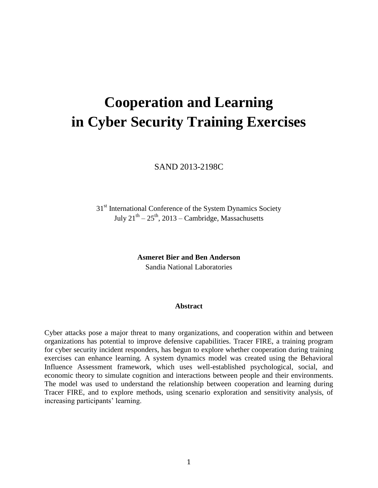# **Cooperation and Learning in Cyber Security Training Exercises**

SAND 2013-2198C

31<sup>st</sup> International Conference of the System Dynamics Society July  $21^{th} - 25^{th}$ , 2013 – Cambridge, Massachusetts

> **Asmeret Bier and Ben Anderson** Sandia National Laboratories

#### **Abstract**

Cyber attacks pose a major threat to many organizations, and cooperation within and between organizations has potential to improve defensive capabilities. Tracer FIRE, a training program for cyber security incident responders, has begun to explore whether cooperation during training exercises can enhance learning. A system dynamics model was created using the Behavioral Influence Assessment framework, which uses well-established psychological, social, and economic theory to simulate cognition and interactions between people and their environments. The model was used to understand the relationship between cooperation and learning during Tracer FIRE, and to explore methods, using scenario exploration and sensitivity analysis, of increasing participants' learning.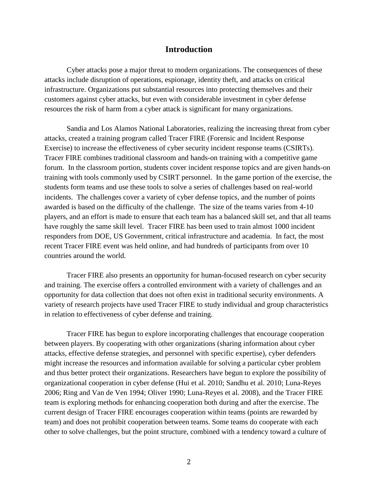## **Introduction**

Cyber attacks pose a major threat to modern organizations. The consequences of these attacks include disruption of operations, espionage, identity theft, and attacks on critical infrastructure. Organizations put substantial resources into protecting themselves and their customers against cyber attacks, but even with considerable investment in cyber defense resources the risk of harm from a cyber attack is significant for many organizations.

Sandia and Los Alamos National Laboratories, realizing the increasing threat from cyber attacks, created a training program called Tracer FIRE (Forensic and Incident Response Exercise) to increase the effectiveness of cyber security incident response teams (CSIRTs). Tracer FIRE combines traditional classroom and hands-on training with a competitive game forum. In the classroom portion, students cover incident response topics and are given hands-on training with tools commonly used by CSIRT personnel. In the game portion of the exercise, the students form teams and use these tools to solve a series of challenges based on real-world incidents. The challenges cover a variety of cyber defense topics, and the number of points awarded is based on the difficulty of the challenge. The size of the teams varies from 4-10 players, and an effort is made to ensure that each team has a balanced skill set, and that all teams have roughly the same skill level. Tracer FIRE has been used to train almost 1000 incident responders from DOE, US Government, critical infrastructure and academia. In fact, the most recent Tracer FIRE event was held online, and had hundreds of participants from over 10 countries around the world.

Tracer FIRE also presents an opportunity for human-focused research on cyber security and training. The exercise offers a controlled environment with a variety of challenges and an opportunity for data collection that does not often exist in traditional security environments. A variety of research projects have used Tracer FIRE to study individual and group characteristics in relation to effectiveness of cyber defense and training.

Tracer FIRE has begun to explore incorporating challenges that encourage cooperation between players. By cooperating with other organizations (sharing information about cyber attacks, effective defense strategies, and personnel with specific expertise), cyber defenders might increase the resources and information available for solving a particular cyber problem and thus better protect their organizations. Researchers have begun to explore the possibility of organizational cooperation in cyber defense (Hui et al. 2010; Sandhu et al. 2010; Luna-Reyes 2006; Ring and Van de Ven 1994; Oliver 1990; Luna-Reyes et al. 2008), and the Tracer FIRE team is exploring methods for enhancing cooperation both during and after the exercise. The current design of Tracer FIRE encourages cooperation within teams (points are rewarded by team) and does not prohibit cooperation between teams. Some teams do cooperate with each other to solve challenges, but the point structure, combined with a tendency toward a culture of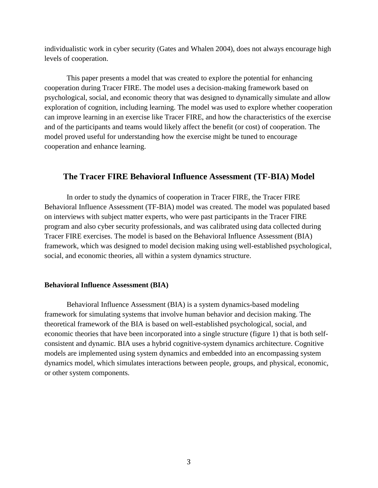individualistic work in cyber security (Gates and Whalen 2004), does not always encourage high levels of cooperation.

This paper presents a model that was created to explore the potential for enhancing cooperation during Tracer FIRE. The model uses a decision-making framework based on psychological, social, and economic theory that was designed to dynamically simulate and allow exploration of cognition, including learning. The model was used to explore whether cooperation can improve learning in an exercise like Tracer FIRE, and how the characteristics of the exercise and of the participants and teams would likely affect the benefit (or cost) of cooperation. The model proved useful for understanding how the exercise might be tuned to encourage cooperation and enhance learning.

## **The Tracer FIRE Behavioral Influence Assessment (TF-BIA) Model**

In order to study the dynamics of cooperation in Tracer FIRE, the Tracer FIRE Behavioral Influence Assessment (TF-BIA) model was created. The model was populated based on interviews with subject matter experts, who were past participants in the Tracer FIRE program and also cyber security professionals, and was calibrated using data collected during Tracer FIRE exercises. The model is based on the Behavioral Influence Assessment (BIA) framework, which was designed to model decision making using well-established psychological, social, and economic theories, all within a system dynamics structure.

#### **Behavioral Influence Assessment (BIA)**

Behavioral Influence Assessment (BIA) is a system dynamics-based modeling framework for simulating systems that involve human behavior and decision making. The theoretical framework of the BIA is based on well-established psychological, social, and economic theories that have been incorporated into a single structure (figure 1) that is both selfconsistent and dynamic. BIA uses a hybrid cognitive-system dynamics architecture. Cognitive models are implemented using system dynamics and embedded into an encompassing system dynamics model, which simulates interactions between people, groups, and physical, economic, or other system components.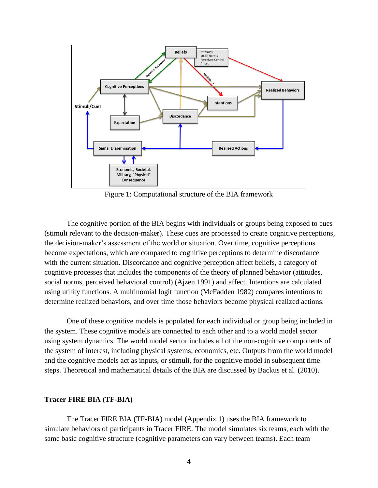

Figure 1: Computational structure of the BIA framework

The cognitive portion of the BIA begins with individuals or groups being exposed to cues (stimuli relevant to the decision-maker). These cues are processed to create cognitive perceptions, the decision-maker's assessment of the world or situation. Over time, cognitive perceptions become expectations, which are compared to cognitive perceptions to determine discordance with the current situation. Discordance and cognitive perception affect beliefs, a category of cognitive processes that includes the components of the theory of planned behavior (attitudes, social norms, perceived behavioral control) (Ajzen 1991) and affect. Intentions are calculated using utility functions. A multinomial logit function (McFadden 1982) compares intentions to determine realized behaviors, and over time those behaviors become physical realized actions.

One of these cognitive models is populated for each individual or group being included in the system. These cognitive models are connected to each other and to a world model sector using system dynamics. The world model sector includes all of the non-cognitive components of the system of interest, including physical systems, economics, etc. Outputs from the world model and the cognitive models act as inputs, or stimuli, for the cognitive model in subsequent time steps. Theoretical and mathematical details of the BIA are discussed by Backus et al. (2010).

#### **Tracer FIRE BIA (TF-BIA)**

The Tracer FIRE BIA (TF-BIA) model (Appendix 1) uses the BIA framework to simulate behaviors of participants in Tracer FIRE. The model simulates six teams, each with the same basic cognitive structure (cognitive parameters can vary between teams). Each team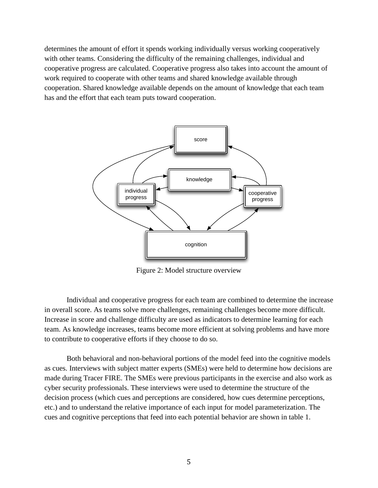determines the amount of effort it spends working individually versus working cooperatively with other teams. Considering the difficulty of the remaining challenges, individual and cooperative progress are calculated. Cooperative progress also takes into account the amount of work required to cooperate with other teams and shared knowledge available through cooperation. Shared knowledge available depends on the amount of knowledge that each team has and the effort that each team puts toward cooperation.



Figure 2: Model structure overview

Individual and cooperative progress for each team are combined to determine the increase in overall score. As teams solve more challenges, remaining challenges become more difficult. Increase in score and challenge difficulty are used as indicators to determine learning for each team. As knowledge increases, teams become more efficient at solving problems and have more to contribute to cooperative efforts if they choose to do so.

Both behavioral and non-behavioral portions of the model feed into the cognitive models as cues. Interviews with subject matter experts (SMEs) were held to determine how decisions are made during Tracer FIRE. The SMEs were previous participants in the exercise and also work as cyber security professionals. These interviews were used to determine the structure of the decision process (which cues and perceptions are considered, how cues determine perceptions, etc.) and to understand the relative importance of each input for model parameterization. The cues and cognitive perceptions that feed into each potential behavior are shown in table 1.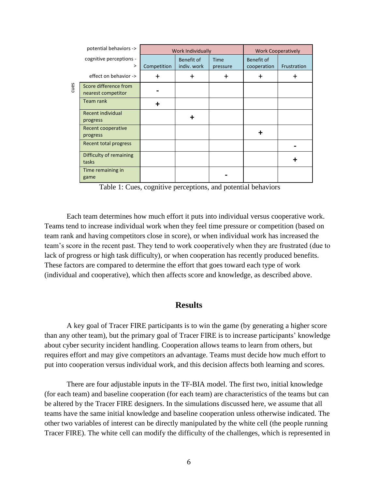|      | potential behaviors ->                      |             | <b>Work Individually</b>  |                  | <b>Work Cooperatively</b> |             |
|------|---------------------------------------------|-------------|---------------------------|------------------|---------------------------|-------------|
|      | cognitive perceptions -<br>>                | Competition | Benefit of<br>indiv. work | Time<br>pressure | Benefit of<br>cooperation | Frustration |
|      | effect on behavior ->                       | $\ddot{}$   | +                         | $\ddot{}$        | $\div$                    |             |
| cues | Score difference from<br>nearest competitor |             |                           |                  |                           |             |
|      | Team rank                                   | ┿           |                           |                  |                           |             |
|      | <b>Recent individual</b><br>progress        |             |                           |                  |                           |             |
|      | Recent cooperative<br>progress              |             |                           |                  | ╈                         |             |
|      | Recent total progress                       |             |                           |                  |                           |             |
|      | Difficulty of remaining<br>tasks            |             |                           |                  |                           |             |
|      | Time remaining in<br>game                   |             |                           |                  |                           |             |

Table 1: Cues, cognitive perceptions, and potential behaviors

Each team determines how much effort it puts into individual versus cooperative work. Teams tend to increase individual work when they feel time pressure or competition (based on team rank and having competitors close in score), or when individual work has increased the team's score in the recent past. They tend to work cooperatively when they are frustrated (due to lack of progress or high task difficulty), or when cooperation has recently produced benefits. These factors are compared to determine the effort that goes toward each type of work (individual and cooperative), which then affects score and knowledge, as described above.

## **Results**

A key goal of Tracer FIRE participants is to win the game (by generating a higher score than any other team), but the primary goal of Tracer FIRE is to increase participants' knowledge about cyber security incident handling. Cooperation allows teams to learn from others, but requires effort and may give competitors an advantage. Teams must decide how much effort to put into cooperation versus individual work, and this decision affects both learning and scores.

There are four adjustable inputs in the TF-BIA model. The first two, initial knowledge (for each team) and baseline cooperation (for each team) are characteristics of the teams but can be altered by the Tracer FIRE designers. In the simulations discussed here, we assume that all teams have the same initial knowledge and baseline cooperation unless otherwise indicated. The other two variables of interest can be directly manipulated by the white cell (the people running Tracer FIRE). The white cell can modify the difficulty of the challenges, which is represented in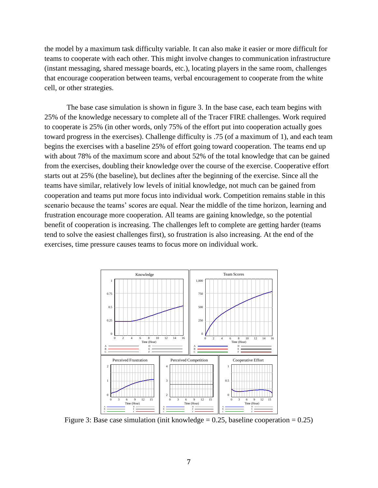the model by a maximum task difficulty variable. It can also make it easier or more difficult for teams to cooperate with each other. This might involve changes to communication infrastructure (instant messaging, shared message boards, etc.), locating players in the same room, challenges that encourage cooperation between teams, verbal encouragement to cooperate from the white cell, or other strategies.

The base case simulation is shown in figure 3. In the base case, each team begins with 25% of the knowledge necessary to complete all of the Tracer FIRE challenges. Work required to cooperate is 25% (in other words, only 75% of the effort put into cooperation actually goes toward progress in the exercises). Challenge difficulty is .75 (of a maximum of 1), and each team begins the exercises with a baseline 25% of effort going toward cooperation. The teams end up with about 78% of the maximum score and about 52% of the total knowledge that can be gained from the exercises, doubling their knowledge over the course of the exercise. Cooperative effort starts out at 25% (the baseline), but declines after the beginning of the exercise. Since all the teams have similar, relatively low levels of initial knowledge, not much can be gained from cooperation and teams put more focus into individual work. Competition remains stable in this scenario because the teams' scores are equal. Near the middle of the time horizon, learning and frustration encourage more cooperation. All teams are gaining knowledge, so the potential benefit of cooperation is increasing. The challenges left to complete are getting harder (teams tend to solve the easiest challenges first), so frustration is also increasing. At the end of the exercises, time pressure causes teams to focus more on individual work.



Figure 3: Base case simulation (init knowledge  $= 0.25$ , baseline cooperation  $= 0.25$ )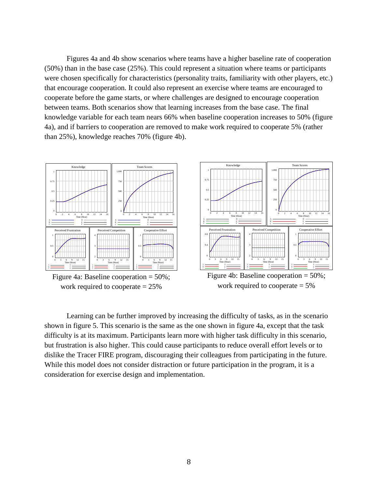Figures 4a and 4b show scenarios where teams have a higher baseline rate of cooperation (50%) than in the base case (25%). This could represent a situation where teams or participants were chosen specifically for characteristics (personality traits, familiarity with other players, etc.) that encourage cooperation. It could also represent an exercise where teams are encouraged to cooperate before the game starts, or where challenges are designed to encourage cooperation between teams. Both scenarios show that learning increases from the base case. The final knowledge variable for each team nears 66% when baseline cooperation increases to 50% (figure 4a), and if barriers to cooperation are removed to make work required to cooperate 5% (rather than 25%), knowledge reaches 70% (figure 4b).



Figure 4a: Baseline cooperation = 50%; work required to cooperate = 25%





Learning can be further improved by increasing the difficulty of tasks, as in the scenario shown in figure 5. This scenario is the same as the one shown in figure 4a, except that the task difficulty is at its maximum. Participants learn more with higher task difficulty in this scenario, but frustration is also higher. This could cause participants to reduce overall effort levels or to dislike the Tracer FIRE program, discouraging their colleagues from participating in the future. While this model does not consider distraction or future participation in the program, it is a consideration for exercise design and implementation.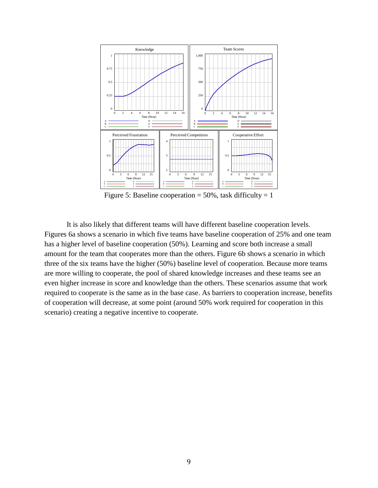

Figure 5: Baseline cooperation =  $50\%$ , task difficulty = 1

It is also likely that different teams will have different baseline cooperation levels. Figures 6a shows a scenario in which five teams have baseline cooperation of 25% and one team has a higher level of baseline cooperation (50%). Learning and score both increase a small amount for the team that cooperates more than the others. Figure 6b shows a scenario in which three of the six teams have the higher (50%) baseline level of cooperation. Because more teams are more willing to cooperate, the pool of shared knowledge increases and these teams see an even higher increase in score and knowledge than the others. These scenarios assume that work required to cooperate is the same as in the base case. As barriers to cooperation increase, benefits of cooperation will decrease, at some point (around 50% work required for cooperation in this scenario) creating a negative incentive to cooperate.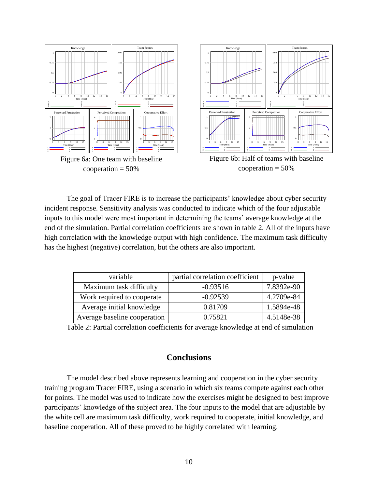

The goal of Tracer FIRE is to increase the participants' knowledge about cyber security incident response. Sensitivity analysis was conducted to indicate which of the four adjustable inputs to this model were most important in determining the teams' average knowledge at the end of the simulation. Partial correlation coefficients are shown in table 2. All of the inputs have high correlation with the knowledge output with high confidence. The maximum task difficulty has the highest (negative) correlation, but the others are also important.

| variable                     | partial correlation coefficient | p-value    |
|------------------------------|---------------------------------|------------|
| Maximum task difficulty      | $-0.93516$                      | 7.8392e-90 |
| Work required to cooperate   | $-0.92539$                      | 4.2709e-84 |
| Average initial knowledge    | 0.81709                         | 1.5894e-48 |
| Average baseline cooperation | 0.75821                         | 4.5148e-38 |

Table 2: Partial correlation coefficients for average knowledge at end of simulation

## **Conclusions**

The model described above represents learning and cooperation in the cyber security training program Tracer FIRE, using a scenario in which six teams compete against each other for points. The model was used to indicate how the exercises might be designed to best improve participants' knowledge of the subject area. The four inputs to the model that are adjustable by the white cell are maximum task difficulty, work required to cooperate, initial knowledge, and baseline cooperation. All of these proved to be highly correlated with learning.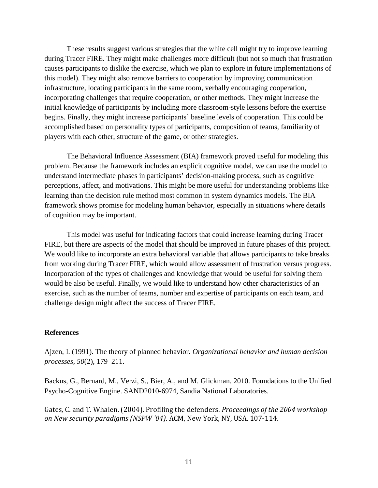These results suggest various strategies that the white cell might try to improve learning during Tracer FIRE. They might make challenges more difficult (but not so much that frustration causes participants to dislike the exercise, which we plan to explore in future implementations of this model). They might also remove barriers to cooperation by improving communication infrastructure, locating participants in the same room, verbally encouraging cooperation, incorporating challenges that require cooperation, or other methods. They might increase the initial knowledge of participants by including more classroom-style lessons before the exercise begins. Finally, they might increase participants' baseline levels of cooperation. This could be accomplished based on personality types of participants, composition of teams, familiarity of players with each other, structure of the game, or other strategies.

The Behavioral Influence Assessment (BIA) framework proved useful for modeling this problem. Because the framework includes an explicit cognitive model, we can use the model to understand intermediate phases in participants' decision-making process, such as cognitive perceptions, affect, and motivations. This might be more useful for understanding problems like learning than the decision rule method most common in system dynamics models. The BIA framework shows promise for modeling human behavior, especially in situations where details of cognition may be important.

This model was useful for indicating factors that could increase learning during Tracer FIRE, but there are aspects of the model that should be improved in future phases of this project. We would like to incorporate an extra behavioral variable that allows participants to take breaks from working during Tracer FIRE, which would allow assessment of frustration versus progress. Incorporation of the types of challenges and knowledge that would be useful for solving them would be also be useful. Finally, we would like to understand how other characteristics of an exercise, such as the number of teams, number and expertise of participants on each team, and challenge design might affect the success of Tracer FIRE.

#### **References**

Ajzen, I. (1991). The theory of planned behavior. *Organizational behavior and human decision processes*, *50*(2), 179–211.

Backus, G., Bernard, M., Verzi, S., Bier, A., and M. Glickman. 2010. Foundations to the Unified Psycho-Cognitive Engine. SAND2010-6974, Sandia National Laboratories.

Gates, C. and T. Whalen. (2004). Profiling the defenders. *Proceedings of the 2004 workshop on New security paradigms (NSPW '04)*. ACM, New York, NY, USA, 107-114.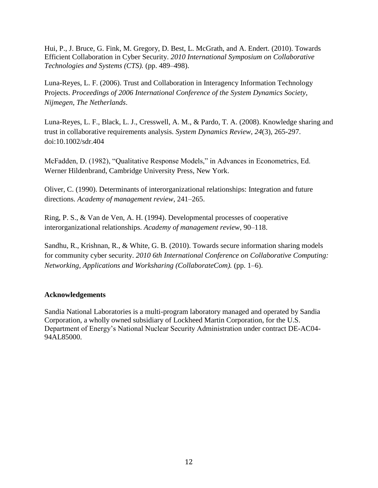Hui, P., J. Bruce, G. Fink, M. Gregory, D. Best, L. McGrath, and A. Endert. (2010). Towards Efficient Collaboration in Cyber Security. *2010 International Symposium on Collaborative Technologies and Systems (CTS).* (pp. 489–498).

Luna-Reyes, L. F. (2006). Trust and Collaboration in Interagency Information Technology Projects. *Proceedings of 2006 International Conference of the System Dynamics Society, Nijmegen, The Netherlands*.

Luna-Reyes, L. F., Black, L. J., Cresswell, A. M., & Pardo, T. A. (2008). Knowledge sharing and trust in collaborative requirements analysis. *System Dynamics Review*, *24*(3), 265-297. doi:10.1002/sdr.404

McFadden, D. (1982), "Qualitative Response Models," in Advances in Econometrics, Ed. Werner Hildenbrand, Cambridge University Press, New York.

Oliver, C. (1990). Determinants of interorganizational relationships: Integration and future directions. *Academy of management review*, 241–265.

Ring, P. S., & Van de Ven, A. H. (1994). Developmental processes of cooperative interorganizational relationships. *Academy of management review*, 90–118.

Sandhu, R., Krishnan, R., & White, G. B. (2010). Towards secure information sharing models for community cyber security. *2010 6th International Conference on Collaborative Computing: Networking, Applications and Worksharing (CollaborateCom).* (pp. 1–6).

### **Acknowledgements**

Sandia National Laboratories is a multi-program laboratory managed and operated by Sandia Corporation, a wholly owned subsidiary of Lockheed Martin Corporation, for the U.S. Department of Energy's National Nuclear Security Administration under contract DE-AC04- 94AL85000.